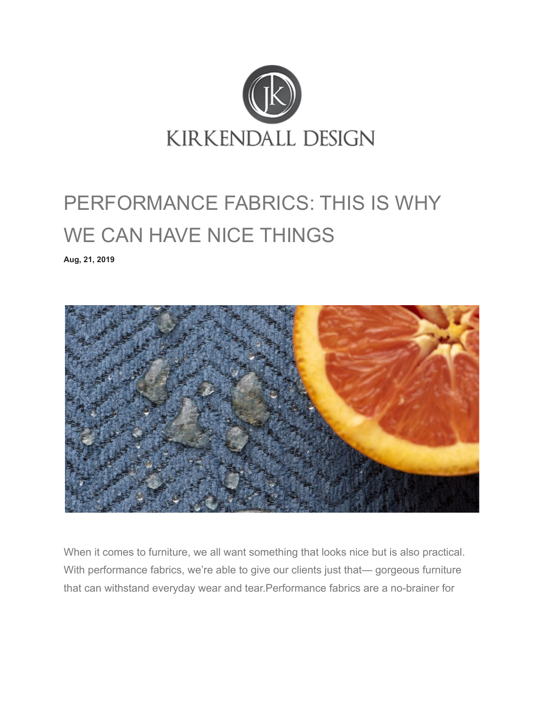

## PERFORMANCE FABRICS: THIS IS WHY WE CAN HAVE NICE THINGS

**[Aug, 21, 2019](http://kirkendalldesign.com/2019/08/21/)**



When it comes to furniture, we all want something that looks nice but is also practical. With performance fabrics, we're able to give our clients just that— gorgeous furniture that can withstand everyday wear and tear.Performance fabrics are a no-brainer for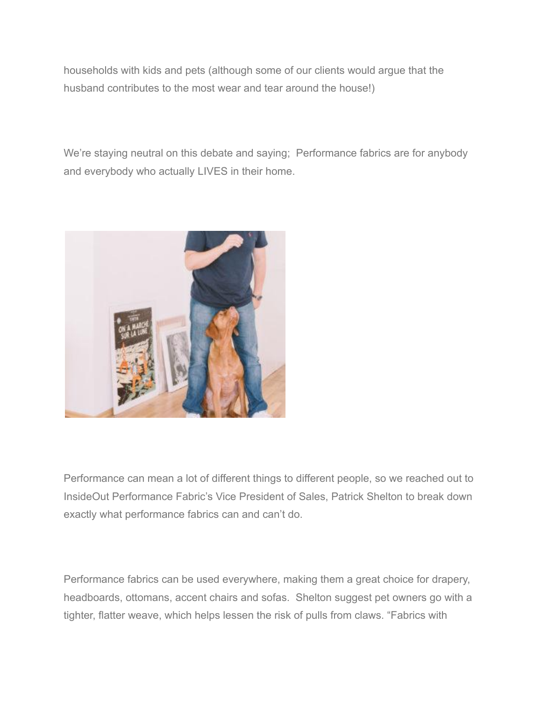households with kids and pets (although some of our clients would argue that the husband contributes to the most wear and tear around the house!)

We're staying neutral on this debate and saying; Performance fabrics are for anybody and everybody who actually LIVES in their home.



Performance can mean a lot of different things to different people, so we reached out to InsideOut Performance Fabric's Vice President of Sales, Patrick Shelton to break down exactly what performance fabrics can and can't do.

Performance fabrics can be used everywhere, making them a great choice for drapery, headboards, ottomans, accent chairs and sofas. Shelton suggest pet owners go with a tighter, flatter weave, which helps lessen the risk of pulls from claws. "Fabrics with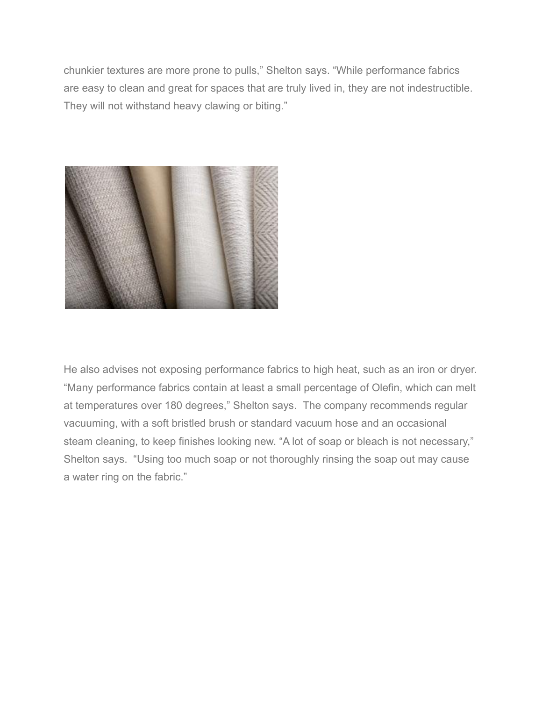chunkier textures are more prone to pulls," Shelton says. "While performance fabrics are easy to clean and great for spaces that are truly lived in, they are not indestructible. They will not withstand heavy clawing or biting."



He also advises not exposing performance fabrics to high heat, such as an iron or dryer. "Many performance fabrics contain at least a small percentage of Olefin, which can melt at temperatures over 180 degrees," Shelton says. The company recommends regular vacuuming, with a soft bristled brush or standard vacuum hose and an occasional steam cleaning, to keep finishes looking new. "A lot of soap or bleach is not necessary," Shelton says. "Using too much soap or not thoroughly rinsing the soap out may cause a water ring on the fabric."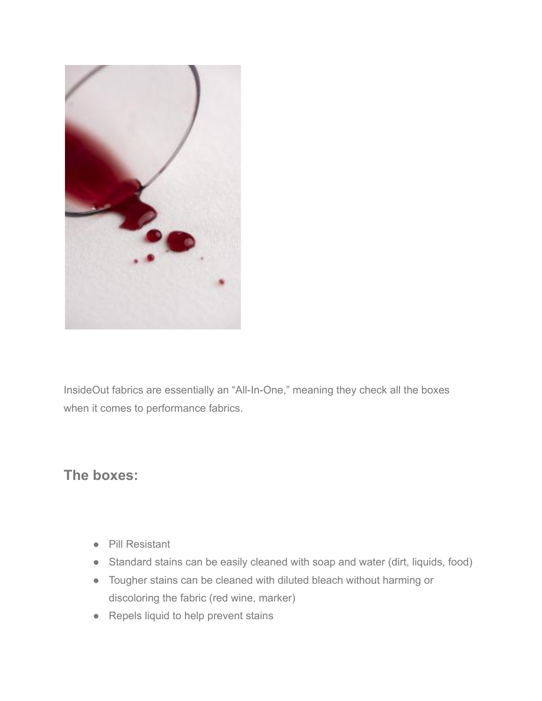

InsideOut fabrics are essentially an "All-In-One," meaning they check all the boxes when it comes to performance fabrics.

## **The boxes:**

- Pill Resistant
- Standard stains can be easily cleaned with soap and water (dirt, liquids, food)
- Tougher stains can be cleaned with diluted bleach without harming or discoloring the fabric (red wine, marker)
- Repels liquid to help prevent stains